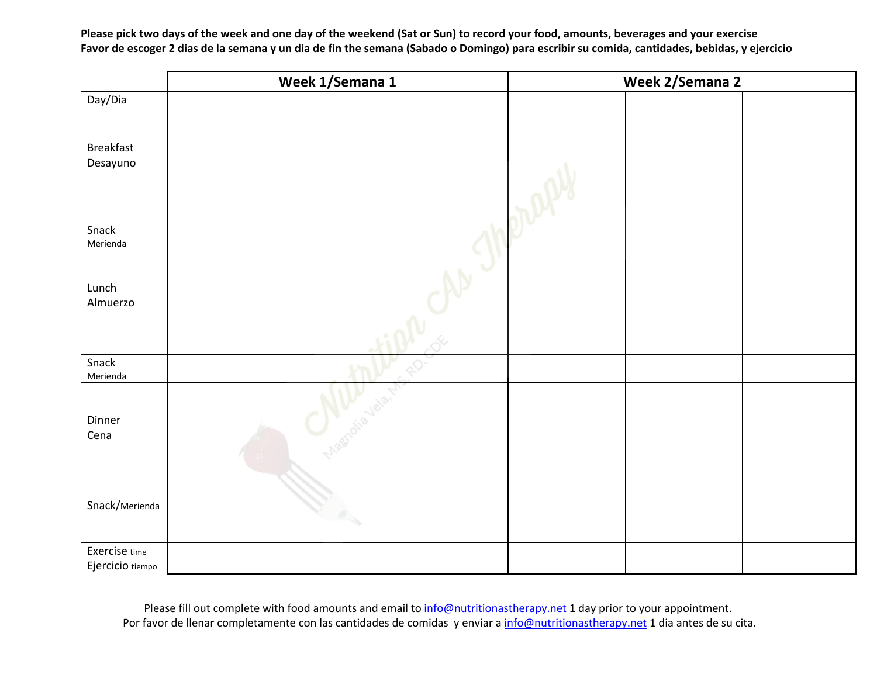**Please pick two days of the week and one day of the weekend (Sat or Sun) to record your food, amounts, beverages and your exercise Favor de escoger 2 dias de la semana y un dia de fin the semana (Sabado o Domingo) para escribir su comida, cantidades, bebidas, y ejercicio**

|                                   | Week 1/Semana 1 |                  |  | Week 2/Semana 2 |  |  |
|-----------------------------------|-----------------|------------------|--|-----------------|--|--|
| Day/Dia                           |                 |                  |  |                 |  |  |
| Breakfast<br>Desayuno             |                 |                  |  |                 |  |  |
| Snack<br>Merienda                 |                 |                  |  |                 |  |  |
| Lunch<br>Almuerzo                 |                 |                  |  |                 |  |  |
| Snack<br>Merienda                 |                 |                  |  |                 |  |  |
| Dinner<br>Cena                    |                 | conclusion velo. |  |                 |  |  |
| Snack/Merienda                    |                 |                  |  |                 |  |  |
|                                   |                 |                  |  |                 |  |  |
| Exercise time<br>Ejercicio tiempo |                 |                  |  |                 |  |  |

Please fill out complete with food amounts and email to *info@nutritionastherapy.net* 1 day prior to your appointment. Por favor de llenar completamente con las cantidades de comidas y enviar a info@nutritionastherapy.net 1 dia antes de su cita.